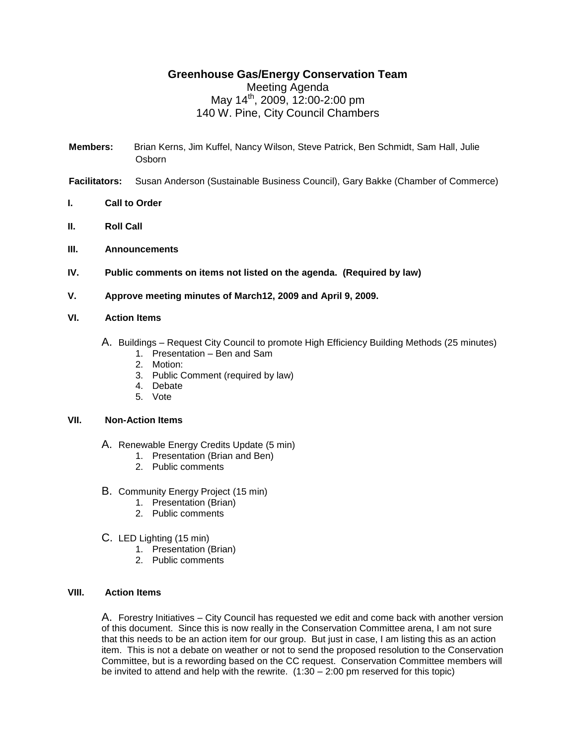## **Greenhouse Gas/Energy Conservation Team**

# Meeting Agenda May 14th , 2009, 12:00-2:00 pm 140 W. Pine, City Council Chambers

- **Members:** Brian Kerns, Jim Kuffel, Nancy Wilson, Steve Patrick, Ben Schmidt, Sam Hall, Julie Osborn
- **Facilitators:** Susan Anderson (Sustainable Business Council), Gary Bakke (Chamber of Commerce)
- **I. Call to Order**
- **II. Roll Call**
- **III. Announcements**
- **IV. Public comments on items not listed on the agenda. (Required by law)**
- **V. Approve meeting minutes of March12, 2009 and April 9, 2009.**

#### **VI. Action Items**

- A. Buildings Request City Council to promote High Efficiency Building Methods (25 minutes)
	- 1. Presentation Ben and Sam
	- 2. Motion:
	- 3. Public Comment (required by law)
	- 4. Debate
	- 5. Vote

#### **VII. Non-Action Items**

- A. Renewable Energy Credits Update (5 min)
	- 1. Presentation (Brian and Ben)
	- 2. Public comments
- B. Community Energy Project (15 min)
	- 1. Presentation (Brian)
	- 2. Public comments
- C. LED Lighting (15 min)
	- 1. Presentation (Brian)
	- 2. Public comments

### **VIII. Action Items**

A. Forestry Initiatives – City Council has requested we edit and come back with another version of this document. Since this is now really in the Conservation Committee arena, I am not sure that this needs to be an action item for our group. But just in case, I am listing this as an action item. This is not a debate on weather or not to send the proposed resolution to the Conservation Committee, but is a rewording based on the CC request. Conservation Committee members will be invited to attend and help with the rewrite.  $(1:30 - 2:00$  pm reserved for this topic)